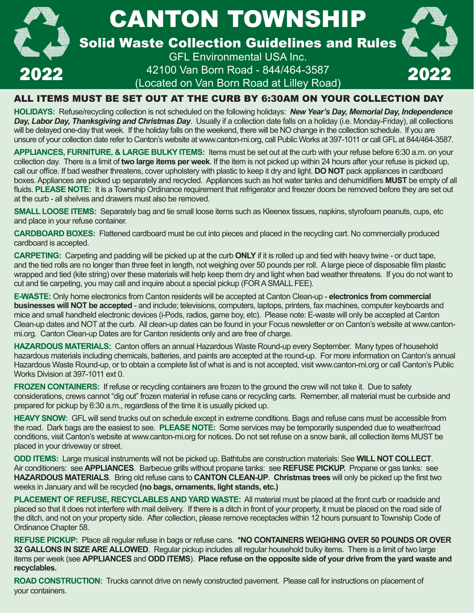

### ALL ITEMS MUST BE SET OUT AT THE CURB BY 6:30AM ON YOUR COLLECTION DAY

**HOLIDAYS:** Refuse/recycling collection is not scheduled on the following holidays: *New Year's Day, Memorial Day, Independence Day, Labor Day, Thanksgiving and Christmas Day*. Usually if a collection date falls on a holiday (i.e. Monday-Friday), all collections will be delayed one-day that week. If the holiday falls on the weekend, there will be NO change in the collection schedule. If you are unsure of your collection date refer to Canton's website at www.canton-mi.org, call Public Works at 397-1011 or call GFL at 844/464-3587.

**APPLIANCES, FURNITURE, & LARGE BULKY ITEMS:** Items must be set out at the curb with your refuse before 6:30 a.m. on your collection day. There is a limit of **two large items per week**. If the item is not picked up within 24 hours after your refuse is picked up, call our office. If bad weather threatens, cover upholstery with plastic to keep it dry and light. **DO NOT** pack appliances in cardboard boxes. Appliances are picked up separately and recycled. Appliances such as hot water tanks and dehumidifiers MUST be empty of all fluids. **PLEASE NOTE:** It is a Township Ordinance requirement that refrigerator and freezer doors be removed before they are set out at the curb - all shelves and drawers must also be removed.

**SMALL LOOSE ITEMS:** Separately bag and tie small loose items such as Kleenex tissues, napkins, styrofoam peanuts, cups, etc and place in your refuse container.

**CARDBOARD BOXES:** Flattened cardboard must be cut into pieces and placed in the recycling cart. No commercially produced cardboard is accepted.

**CARPETING:** Carpeting and padding will be picked up at the curb **ONLY** if it is rolled up and tied with heavy twine - or duct tape, and the tied rolls are no longer than three feet in length, not weighing over 50 pounds per roll. A large piece of disposable film plastic wrapped and tied (kite string) over these materials will help keep them dry and light when bad weather threatens. If you do not want to cut and tie carpeting, you may call and inquire about a special pickup (FOR A SMALL FEE).

**E-WASTE:** Only home electronics from Canton residents will be accepted at Canton Clean-up - **electronics from commercial businesses will NOT be accepted** - and include; televisions, computers, laptops, printers, fax machines, computer keyboards and mice and small handheld electronic devices (i-Pods, radios, game boy, etc). Please note: E-waste will only be accepted at Canton Clean-up dates and NOT at the curb. All clean-up dates can be found in your Focus newsletter or on Canton's website at www.cantonmi.org. Canton Clean-up Dates are for Canton residents only and are free of charge.

HAZARDOUS MATERIALS: Canton offers an annual Hazardous Waste Round-up every September. Many types of household hazardous materials including chemicals, batteries, and paints are accepted at the round-up. For more information on Canton's annual Hazardous Waste Round-up, or to obtain a complete list of what is and is not accepted, visit www.canton-mi.org or call Canton's Public Works Division at 397-1011 ext 0.

**FROZEN CONTAINERS:** If refuse or recycling containers are frozen to the ground the crew will not take it. Due to safety considerations, crews cannot "dig out" frozen material in refuse cans or recycling carts. Remember, all material must be curbside and prepared for pickup by 6:30 a.m., regardless of the time it is usually picked up.

**HEAVY SNOW:** GFL will send trucks out on schedule except in extreme conditions. Bags and refuse cans must be accessible from the road. Dark bags are the easiest to see. **PLEASE NOTE:** Some services may be temporarily suspended due to weather/road conditions, visit Canton's website at www.canton-mi.org for notices. Do not set refuse on a snow bank, all collection items MUST be placed in your driveway or street.

**ODD ITEMS:** Large musical instruments will not be picked up. Bathtubs are construction materials: See **WILL NOT COLLECT**. Air conditioners: see **APPLIANCES**. Barbecue grills without propane tanks: see **REFUSE PICKUP.** Propane or gas tanks: see HAZARDOUS MATERIALS. Bring old refuse cans to CANTON CLEAN-UP. Christmas trees will only be picked up the first two weeks in January and will be recycled **(no bags, ornaments, light stands, etc.)**

**PLACEMENT OF REFUSE, RECYCLABLES AND YARD WASTE:** All material must be placed at the front curb or roadside and placed so that it does not interfere with mail delivery. If there is a ditch in front of your property, it must be placed on the road side of the ditch, and not on your property side. After collection, please remove receptacles within 12 hours pursuant to Township Code of Ordinance Chapter 58.

**REFUSE PICKUP:** Place all regular refuse in bags or refuse cans. **\*NO CONTAINERS WEIGHING OVER 50 POUNDS OR OVER 32 GALLONS IN SIZE ARE ALLOWED**. Regular pickup includes all regular household bulky items. There is a limit of two large items per week (see **APPLIANCES** and **ODD ITEMS**). **Place refuse on the opposite side of your drive from the yard waste and recyclables.**

**ROAD CONSTRUCTION:** Trucks cannot drive on newly constructed pavement. Please call for instructions on placement of your containers.